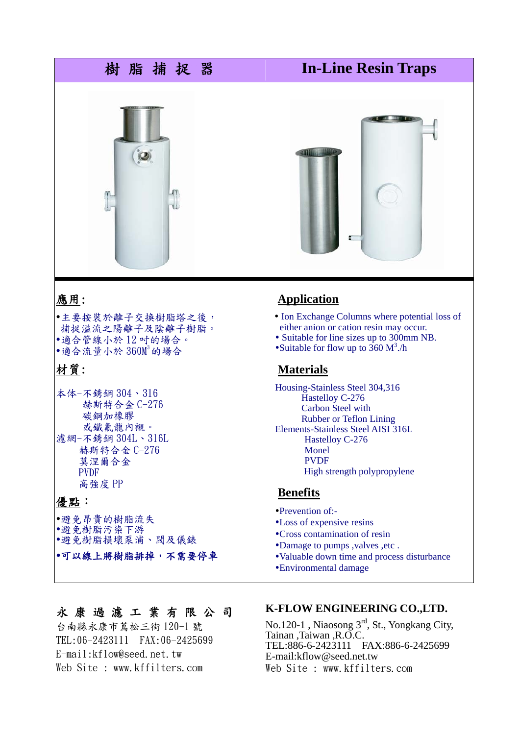

## 應用:

y主要按裝於離子交換樹脂塔之後, 捕捉溢流之陽離子及陰離子樹脂。 y適合管線小於 12 吋的場合。 •適合流量小於  $360$ M3 的場合

# 材質:

本体-不銹鋼 304、316 赫斯特合金 C-276 碳鋼加橡膠 或鐵氟龍內襯。 濾網-不銹鋼 304L、316L 赫斯特合金 C-276 莫涅爾合金 PVDF 高強度 PP

# 優點:

y避免昂貴的樹脂流失 y避免樹脂污染下游 y避免樹脂損壞泵浦、閥及儀錶

#### y可以線上將樹脂排掉,不需要停車

# **Application**

- Ion Exchange Columns where potential loss of either anion or cation resin may occur.
- Suitable for line sizes up to 300mm NB.
- Suitable for flow up to  $360 \text{ M}^3$ ./h

## **Materials**

Housing-Stainless Steel 304,316 Hastelloy C-276 Carbon Steel with Rubber or Teflon Lining Elements-Stainless Steel AISI 316L Hastelloy C-276 Monel PVDF High strength polypropylene

#### **Benefits**

- •Prevention of:-
- •Loss of expensive resins
- Cross contamination of resin
- Damage to pumps , valves , etc.
- •Valuable down time and process disturbance
- yEnvironmental damage

# 永康過濾工業有限公司

台南縣永康市蔦松三街 120-1 號 TEL:06-2423111 FAX:06-2425699 E-mail:kflow@seed.net.tw Web Site : www.kffilters.com

### **K-FLOW ENGINEERING CO.,LTD.**

No.120-1 , Niaosong 3rd, St., Yongkang City, Tainan ,Taiwan ,R.O.C. TEL:886-6-2423111 FAX:886-6-2425699 E-mail:kflow@seed.net.tw Web Site : www.kffilters.com